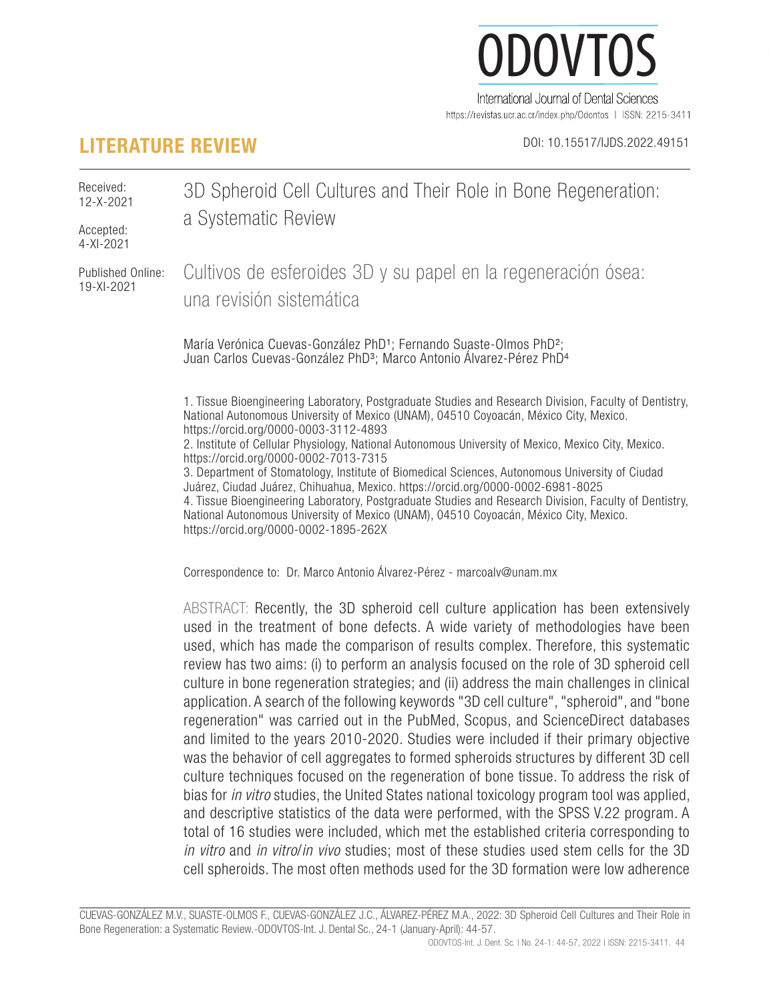# ODOVTOS-International Journal of Dental Sciences *Cuevas-González et al:* 3D Spheroid Cell Cultures and Their Role in Bone Regeneration: a Systematic Review  $J($ International Journal of Dental Sciences

https://revistas.ucr.ac.cr/index.php/Odontos | ISSN: 2215-3411

# **LITERATURE REVIEW** DOI: 10.15517/IJDS.2022.49151

Received: 12-X-2021 3D Spheroid Cell Cultures and Their Role in Bone Regeneration: a Systematic Review

Accepted: 4-XI-2021

Published Online: 19-XI-2021

Cultivos de esferoides 3D y su papel en la regeneración ósea: una revisión sistemática

María Verónica Cuevas-González PhD<sup>1</sup>; Fernando Suaste-Olmos PhD<sup>2</sup>; Juan Carlos Cuevas-González PhD<sup>3</sup>; Marco Antonio Álvarez-Pérez PhD<sup>4</sup>

1. Tissue Bioengineering Laboratory, Postgraduate Studies and Research Division, Faculty of Dentistry, National Autonomous University of Mexico (UNAM), 04510 Coyoacán, México City, Mexico. https://orcid.org/0000-0003-3112-4893 2. Institute of Cellular Physiology, National Autonomous University of Mexico, Mexico City, Mexico. https://orcid.org/0000-0002-7013-7315

3. Department of Stomatology, Institute of Biomedical Sciences, Autonomous University of Ciudad Juárez, Ciudad Juárez, Chihuahua, Mexico. https://orcid.org/0000-0002-6981-8025 4. Tissue Bioengineering Laboratory, Postgraduate Studies and Research Division, Faculty of Dentistry, National Autonomous University of Mexico (UNAM), 04510 Coyoacán, México City, Mexico. https://orcid.org/0000-0002-1895-262X

Correspondence to: Dr. Marco Antonio Álvarez-Pérez - marcoalv@unam.mx

ABSTRACT: Recently, the 3D spheroid cell culture application has been extensively used in the treatment of bone defects. A wide variety of methodologies have been used, which has made the comparison of results complex. Therefore, this systematic review has two aims: (i) to perform an analysis focused on the role of 3D spheroid cell culture in bone regeneration strategies; and (ii) address the main challenges in clinical application. A search of the following keywords "3D cell culture", "spheroid", and "bone regeneration" was carried out in the PubMed, Scopus, and ScienceDirect databases and limited to the years 2010-2020. Studies were included if their primary objective was the behavior of cell aggregates to formed spheroids structures by different 3D cell culture techniques focused on the regeneration of bone tissue. To address the risk of bias for *in vitro* studies, the United States national toxicology program tool was applied, and descriptive statistics of the data were performed, with the SPSS V.22 program. A total of 16 studies were included, which met the established criteria corresponding to *in vitro* and *in vitro*/*in vivo* studies; most of these studies used stem cells for the 3D cell spheroids. The most often methods used for the 3D formation were low adherence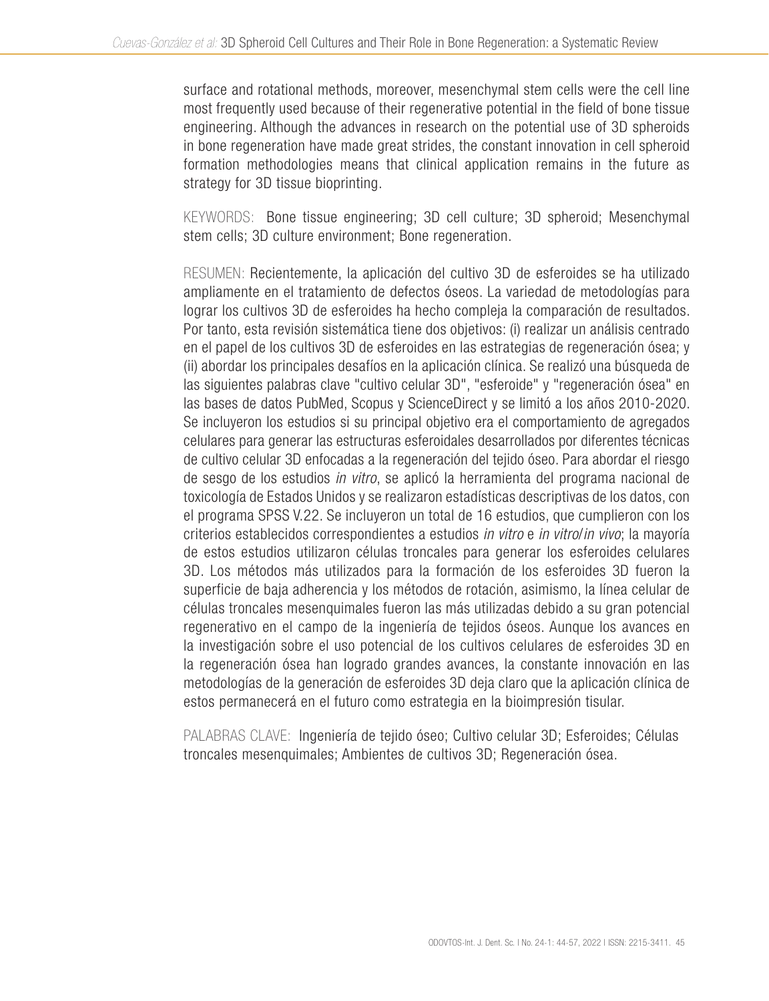surface and rotational methods, moreover, mesenchymal stem cells were the cell line most frequently used because of their regenerative potential in the field of bone tissue engineering. Although the advances in research on the potential use of 3D spheroids in bone regeneration have made great strides, the constant innovation in cell spheroid formation methodologies means that clinical application remains in the future as strategy for 3D tissue bioprinting.

KEYWORDS: Bone tissue engineering; 3D cell culture; 3D spheroid; Mesenchymal stem cells; 3D culture environment; Bone regeneration.

RESUMEN: Recientemente, la aplicación del cultivo 3D de esferoides se ha utilizado ampliamente en el tratamiento de defectos óseos. La variedad de metodologías para lograr los cultivos 3D de esferoides ha hecho compleja la comparación de resultados. Por tanto, esta revisión sistemática tiene dos objetivos: (i) realizar un análisis centrado en el papel de los cultivos 3D de esferoides en las estrategias de regeneración ósea; y (ii) abordar los principales desafíos en la aplicación clínica. Se realizó una búsqueda de las siguientes palabras clave "cultivo celular 3D", "esferoide" y "regeneración ósea" en las bases de datos PubMed, Scopus y ScienceDirect y se limitó a los años 2010-2020. Se incluyeron los estudios si su principal objetivo era el comportamiento de agregados celulares para generar las estructuras esferoidales desarrollados por diferentes técnicas de cultivo celular 3D enfocadas a la regeneración del tejido óseo. Para abordar el riesgo de sesgo de los estudios *in vitro*, se aplicó la herramienta del programa nacional de toxicología de Estados Unidos y se realizaron estadísticas descriptivas de los datos, con el programa SPSS V.22. Se incluyeron un total de 16 estudios, que cumplieron con los criterios establecidos correspondientes a estudios *in vitro* e *in vitro*/*in vivo*; la mayoría de estos estudios utilizaron células troncales para generar los esferoides celulares 3D. Los métodos más utilizados para la formación de los esferoides 3D fueron la superficie de baja adherencia y los métodos de rotación, asimismo, la línea celular de células troncales mesenquimales fueron las más utilizadas debido a su gran potencial regenerativo en el campo de la ingeniería de tejidos óseos. Aunque los avances en la investigación sobre el uso potencial de los cultivos celulares de esferoides 3D en la regeneración ósea han logrado grandes avances, la constante innovación en las metodologías de la generación de esferoides 3D deja claro que la aplicación clínica de estos permanecerá en el futuro como estrategia en la bioimpresión tisular.

PALABRAS CLAVE: Ingeniería de tejido óseo; Cultivo celular 3D; Esferoides; Células troncales mesenquimales; Ambientes de cultivos 3D; Regeneración ósea.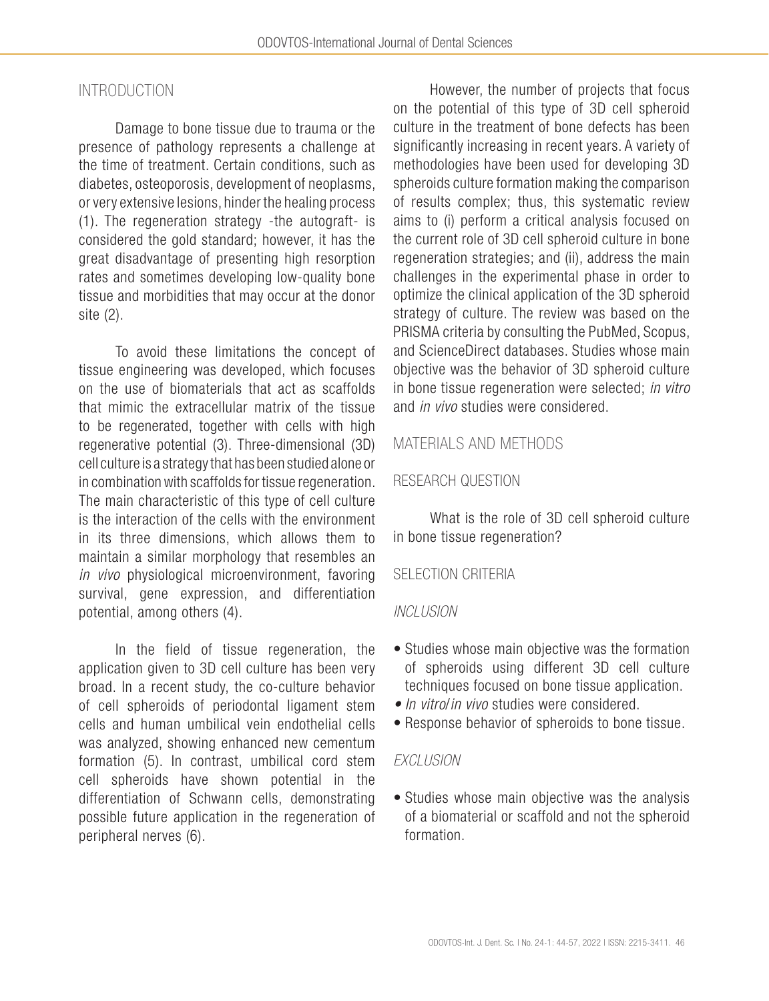# INTRODUCTION

Damage to bone tissue due to trauma or the presence of pathology represents a challenge at the time of treatment. Certain conditions, such as diabetes, osteoporosis, development of neoplasms, or very extensive lesions, hinder the healing process (1). The regeneration strategy -the autograft- is considered the gold standard; however, it has the great disadvantage of presenting high resorption rates and sometimes developing low-quality bone tissue and morbidities that may occur at the donor site (2).

To avoid these limitations the concept of tissue engineering was developed, which focuses on the use of biomaterials that act as scaffolds that mimic the extracellular matrix of the tissue to be regenerated, together with cells with high regenerative potential (3). Three-dimensional (3D) cell culture is a strategy that has been studied alone or in combination with scaffolds for tissue regeneration. The main characteristic of this type of cell culture is the interaction of the cells with the environment in its three dimensions, which allows them to maintain a similar morphology that resembles an *in vivo* physiological microenvironment, favoring survival, gene expression, and differentiation potential, among others (4).

In the field of tissue regeneration, the application given to 3D cell culture has been very broad. In a recent study, the co-culture behavior of cell spheroids of periodontal ligament stem cells and human umbilical vein endothelial cells was analyzed, showing enhanced new cementum formation (5). In contrast, umbilical cord stem cell spheroids have shown potential in the differentiation of Schwann cells, demonstrating possible future application in the regeneration of peripheral nerves (6).

However, the number of projects that focus on the potential of this type of 3D cell spheroid culture in the treatment of bone defects has been significantly increasing in recent years. A variety of methodologies have been used for developing 3D spheroids culture formation making the comparison of results complex; thus, this systematic review aims to (i) perform a critical analysis focused on the current role of 3D cell spheroid culture in bone regeneration strategies; and (ii), address the main challenges in the experimental phase in order to optimize the clinical application of the 3D spheroid strategy of culture. The review was based on the PRISMA criteria by consulting the PubMed, Scopus, and ScienceDirect databases. Studies whose main objective was the behavior of 3D spheroid culture in bone tissue regeneration were selected; *in vitro* and *in vivo* studies were considered.

# MATERIALS AND METHODS

### RESEARCH QUESTION

What is the role of 3D cell spheroid culture in bone tissue regeneration?

### SELECTION CRITERIA

#### *INCLUSION*

- Studies whose main objective was the formation of spheroids using different 3D cell culture techniques focused on bone tissue application.
- *• In vitro*/*in vivo* studies were considered.
- Response behavior of spheroids to bone tissue.

#### *EXCLUSION*

• Studies whose main objective was the analysis of a biomaterial or scaffold and not the spheroid formation.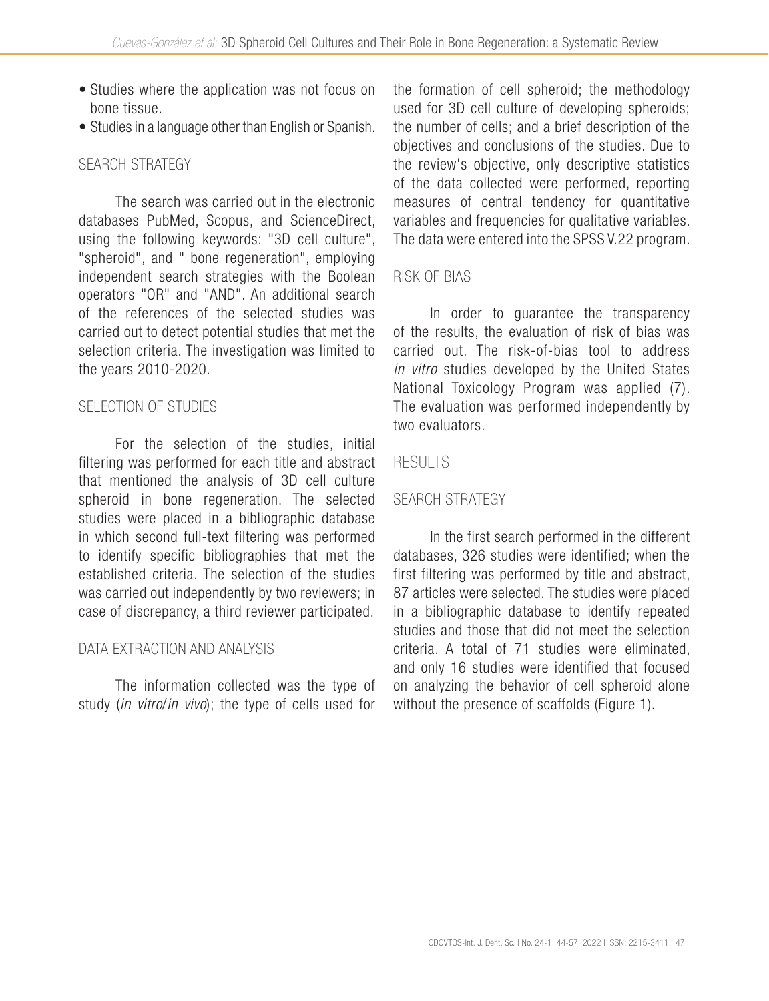- Studies where the application was not focus on bone tissue.
- Studies in a language other than English or Spanish.

# SEARCH STRATEGY

The search was carried out in the electronic databases PubMed, Scopus, and ScienceDirect, using the following keywords: "3D cell culture", "spheroid", and " bone regeneration", employing independent search strategies with the Boolean operators "OR" and "AND". An additional search of the references of the selected studies was carried out to detect potential studies that met the selection criteria. The investigation was limited to the years 2010-2020.

## SELECTION OF STUDIES

For the selection of the studies, initial filtering was performed for each title and abstract that mentioned the analysis of 3D cell culture spheroid in bone regeneration. The selected studies were placed in a bibliographic database in which second full-text filtering was performed to identify specific bibliographies that met the established criteria. The selection of the studies was carried out independently by two reviewers; in case of discrepancy, a third reviewer participated.

### DATA EXTRACTION AND ANALYSIS

The information collected was the type of study (*in vitro*/*in vivo*); the type of cells used for the formation of cell spheroid; the methodology used for 3D cell culture of developing spheroids; the number of cells; and a brief description of the objectives and conclusions of the studies. Due to the review's objective, only descriptive statistics of the data collected were performed, reporting measures of central tendency for quantitative variables and frequencies for qualitative variables. The data were entered into the SPSS V.22 program.

### RISK OF BIAS

In order to guarantee the transparency of the results, the evaluation of risk of bias was carried out. The risk-of-bias tool to address *in vitro* studies developed by the United States National Toxicology Program was applied (7). The evaluation was performed independently by two evaluators.

### RESULTS

# SEARCH STRATEGY

In the first search performed in the different databases, 326 studies were identified; when the first filtering was performed by title and abstract, 87 articles were selected. The studies were placed in a bibliographic database to identify repeated studies and those that did not meet the selection criteria. A total of 71 studies were eliminated, and only 16 studies were identified that focused on analyzing the behavior of cell spheroid alone without the presence of scaffolds (Figure 1).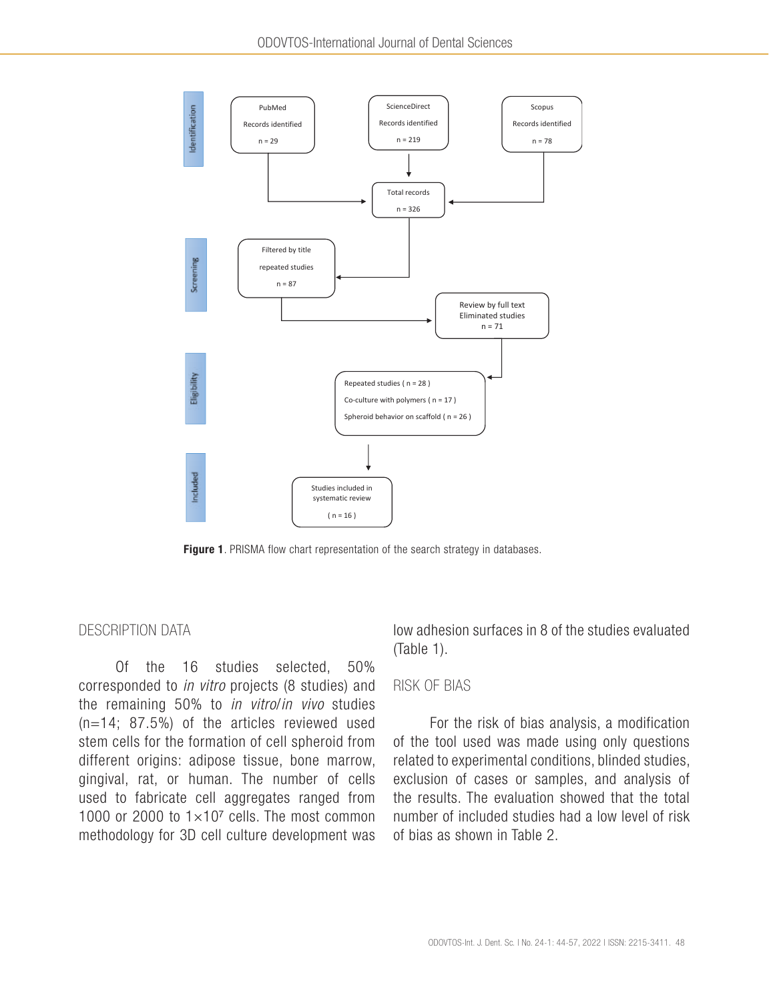

Figure 1. PRISMA flow chart representation of the search strategy in databases.

#### DESCRIPTION DATA

Of the 16 studies selected, 50% corresponded to *in vitro* projects (8 studies) and the remaining 50% to *in vitro*/*in vivo* studies (n=14; 87.5%) of the articles reviewed used stem cells for the formation of cell spheroid from different origins: adipose tissue, bone marrow, gingival, rat, or human. The number of cells used to fabricate cell aggregates ranged from 1000 or 2000 to  $1\times10^7$  cells. The most common methodology for 3D cell culture development was low adhesion surfaces in 8 of the studies evaluated (Table 1).

#### RISK OF BIAS

For the risk of bias analysis, a modification of the tool used was made using only questions related to experimental conditions, blinded studies, exclusion of cases or samples, and analysis of the results. The evaluation showed that the total number of included studies had a low level of risk of bias as shown in Table 2.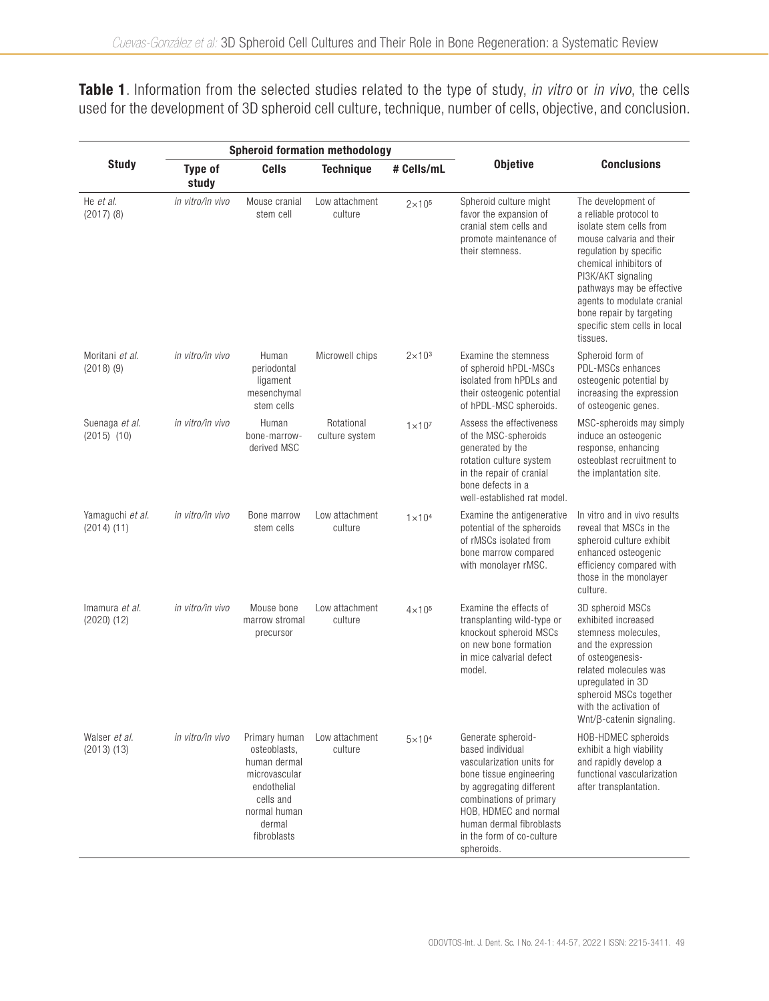Table 1. Information from the selected studies related to the type of study, *in vitro* or *in vivo*, the cells used for the development of 3D spheroid cell culture, technique, number of cells, objective, and conclusion.

|                                     |                         |                                                                                                                                     | <b>Spheroid formation methodology</b> |                 |                                                                                                                                                                                                                                                       |                                                                                                                                                                                                                                                                                                                  |  |
|-------------------------------------|-------------------------|-------------------------------------------------------------------------------------------------------------------------------------|---------------------------------------|-----------------|-------------------------------------------------------------------------------------------------------------------------------------------------------------------------------------------------------------------------------------------------------|------------------------------------------------------------------------------------------------------------------------------------------------------------------------------------------------------------------------------------------------------------------------------------------------------------------|--|
| <b>Study</b>                        | <b>Type of</b><br>study | <b>Cells</b>                                                                                                                        | <b>Technique</b>                      | # Cells/mL      | <b>Objetive</b>                                                                                                                                                                                                                                       | <b>Conclusions</b>                                                                                                                                                                                                                                                                                               |  |
| He et al.<br>$(2017)$ $(8)$         | in vitro/in vivo        | Mouse cranial<br>stem cell                                                                                                          | Low attachment<br>culture             | $2\times10^{5}$ | Spheroid culture might<br>favor the expansion of<br>cranial stem cells and<br>promote maintenance of<br>their stemness.                                                                                                                               | The development of<br>a reliable protocol to<br>isolate stem cells from<br>mouse calvaria and their<br>regulation by specific<br>chemical inhibitors of<br>PI3K/AKT signaling<br>pathways may be effective<br>agents to modulate cranial<br>bone repair by targeting<br>specific stem cells in local<br>tissues. |  |
| Moritani et al.<br>$(2018)$ $(9)$   | in vitro/in vivo        | Human<br>periodontal<br>ligament<br>mesenchymal<br>stem cells                                                                       | Microwell chips                       | $2\times10^3$   | Examine the stemness<br>of spheroid hPDL-MSCs<br>isolated from hPDLs and<br>their osteogenic potential<br>of hPDL-MSC spheroids.                                                                                                                      | Spheroid form of<br>PDL-MSCs enhances<br>osteogenic potential by<br>increasing the expression<br>of osteogenic genes.                                                                                                                                                                                            |  |
| Suenaga et al.<br>$(2015)$ $(10)$   | in vitro/in vivo        | Human<br>bone-marrow-<br>derived MSC                                                                                                | Rotational<br>culture system          | $1 \times 10^7$ | Assess the effectiveness<br>of the MSC-spheroids<br>generated by the<br>rotation culture system<br>in the repair of cranial<br>bone defects in a<br>well-established rat model.                                                                       | MSC-spheroids may simply<br>induce an osteogenic<br>response, enhancing<br>osteoblast recruitment to<br>the implantation site.                                                                                                                                                                                   |  |
| Yamaquchi et al.<br>$(2014)$ $(11)$ | in vitro/in vivo        | Bone marrow<br>stem cells                                                                                                           | Low attachment<br>culture             | $1 \times 104$  | Examine the antigenerative<br>potential of the spheroids<br>of rMSCs isolated from<br>bone marrow compared<br>with monolayer rMSC.                                                                                                                    | In vitro and in vivo results<br>reveal that MSCs in the<br>spheroid culture exhibit<br>enhanced osteogenic<br>efficiency compared with<br>those in the monolayer<br>culture.                                                                                                                                     |  |
| Imamura et al.<br>$(2020)$ $(12)$   | in vitro/in vivo        | Mouse bone<br>marrow stromal<br>precursor                                                                                           | Low attachment<br>culture             | $4\times10^{5}$ | Examine the effects of<br>transplanting wild-type or<br>knockout spheroid MSCs<br>on new bone formation<br>in mice calvarial defect<br>model.                                                                                                         | 3D spheroid MSCs<br>exhibited increased<br>stemness molecules,<br>and the expression<br>of osteogenesis-<br>related molecules was<br>upregulated in 3D<br>spheroid MSCs together<br>with the activation of<br>Wnt/ß-catenin signaling.                                                                           |  |
| Walser et al.<br>$(2013)$ $(13)$    | in vitro/in vivo        | Primary human<br>osteoblasts,<br>human dermal<br>microvascular<br>endothelial<br>cells and<br>normal human<br>dermal<br>fibroblasts | Low attachment<br>culture             | $5\times104$    | Generate spheroid-<br>based individual<br>vascularization units for<br>bone tissue engineering<br>by aggregating different<br>combinations of primary<br>HOB, HDMEC and normal<br>human dermal fibroblasts<br>in the form of co-culture<br>spheroids. | <b>HOB-HDMEC</b> spheroids<br>exhibit a high viability<br>and rapidly develop a<br>functional vascularization<br>after transplantation.                                                                                                                                                                          |  |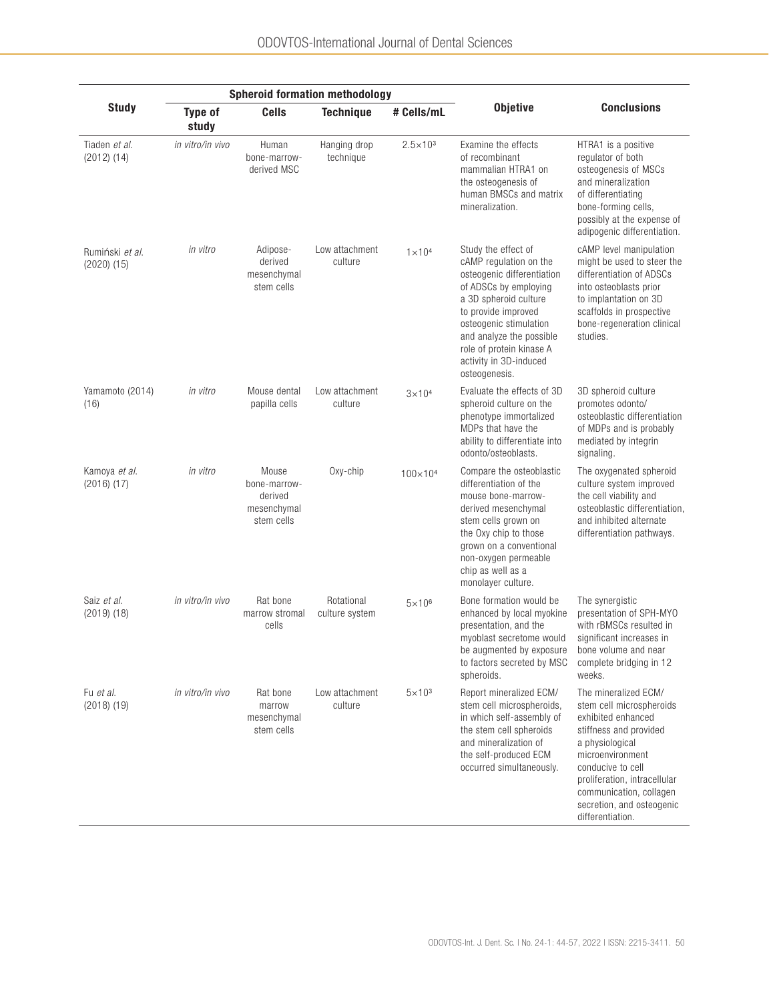|                                    |                         |                                                               | <b>Spheroid formation methodology</b> |                     |                                                                                                                                                                                                                                                                                   |                                                                                                                                                                                                                                                                          |  |
|------------------------------------|-------------------------|---------------------------------------------------------------|---------------------------------------|---------------------|-----------------------------------------------------------------------------------------------------------------------------------------------------------------------------------------------------------------------------------------------------------------------------------|--------------------------------------------------------------------------------------------------------------------------------------------------------------------------------------------------------------------------------------------------------------------------|--|
| <b>Study</b>                       | <b>Type of</b><br>study | <b>Cells</b>                                                  | <b>Technique</b>                      | # Cells/mL          | <b>Objetive</b>                                                                                                                                                                                                                                                                   | <b>Conclusions</b>                                                                                                                                                                                                                                                       |  |
| Tiaden et al.<br>$(2012)$ $(14)$   | in vitro/in vivo        | Human<br>bone-marrow-<br>derived MSC                          | Hanging drop<br>technique             | $2.5 \times 10^{3}$ | Examine the effects<br>of recombinant<br>mammalian HTRA1 on<br>the osteogenesis of<br>human BMSCs and matrix<br>mineralization.                                                                                                                                                   | HTRA1 is a positive<br>regulator of both<br>osteogenesis of MSCs<br>and mineralization<br>of differentiating<br>bone-forming cells,<br>possibly at the expense of<br>adipogenic differentiation.                                                                         |  |
| Rumiński et al.<br>$(2020)$ $(15)$ | in vitro                | Adipose-<br>derived<br>mesenchymal<br>stem cells              | Low attachment<br>culture             | $1 \times 10^{4}$   | Study the effect of<br>cAMP regulation on the<br>osteogenic differentiation<br>of ADSCs by employing<br>a 3D spheroid culture<br>to provide improved<br>osteogenic stimulation<br>and analyze the possible<br>role of protein kinase A<br>activity in 3D-induced<br>osteogenesis. | cAMP level manipulation<br>might be used to steer the<br>differentiation of ADSCs<br>into osteoblasts prior<br>to implantation on 3D<br>scaffolds in prospective<br>bone-regeneration clinical<br>studies.                                                               |  |
| Yamamoto (2014)<br>(16)            | in vitro                | Mouse dental<br>papilla cells                                 | Low attachment<br>culture             | $3\times104$        | Evaluate the effects of 3D<br>spheroid culture on the<br>phenotype immortalized<br>MDPs that have the<br>ability to differentiate into<br>odonto/osteoblasts.                                                                                                                     | 3D spheroid culture<br>promotes odonto/<br>osteoblastic differentiation<br>of MDPs and is probably<br>mediated by integrin<br>signaling.                                                                                                                                 |  |
| Kamoya et al.<br>$(2016)$ $(17)$   | in vitro                | Mouse<br>bone-marrow-<br>derived<br>mesenchymal<br>stem cells | Oxy-chip                              | $100 \times 10^{4}$ | Compare the osteoblastic<br>differentiation of the<br>mouse bone-marrow-<br>derived mesenchymal<br>stem cells grown on<br>the Oxy chip to those<br>grown on a conventional<br>non-oxygen permeable<br>chip as well as a<br>monolayer culture.                                     | The oxygenated spheroid<br>culture system improved<br>the cell viability and<br>osteoblastic differentiation,<br>and inhibited alternate<br>differentiation pathways.                                                                                                    |  |
| Saiz et al.<br>$(2019)$ $(18)$     | in vitro/in vivo        | Rat bone<br>marrow stromal<br>cells                           | Rotational<br>culture system          | $5\times10^6$       | Bone formation would be<br>enhanced by local myokine<br>presentation, and the<br>myoblast secretome would<br>be augmented by exposure<br>to factors secreted by MSC<br>spheroids.                                                                                                 | The synergistic<br>presentation of SPH-MYO<br>with rBMSCs resulted in<br>significant increases in<br>bone volume and near<br>complete bridging in 12<br>weeks.                                                                                                           |  |
| Fu et al.<br>$(2018)$ $(19)$       | in vitro/in vivo        | Rat bone<br>marrow<br>mesenchymal<br>stem cells               | Low attachment<br>culture             | $5 \times 10^3$     | Report mineralized ECM/<br>stem cell microspheroids,<br>in which self-assembly of<br>the stem cell spheroids<br>and mineralization of<br>the self-produced ECM<br>occurred simultaneously.                                                                                        | The mineralized ECM/<br>stem cell microspheroids<br>exhibited enhanced<br>stiffness and provided<br>a physiological<br>microenvironment<br>conducive to cell<br>proliferation, intracellular<br>communication, collagen<br>secretion, and osteogenic<br>differentiation. |  |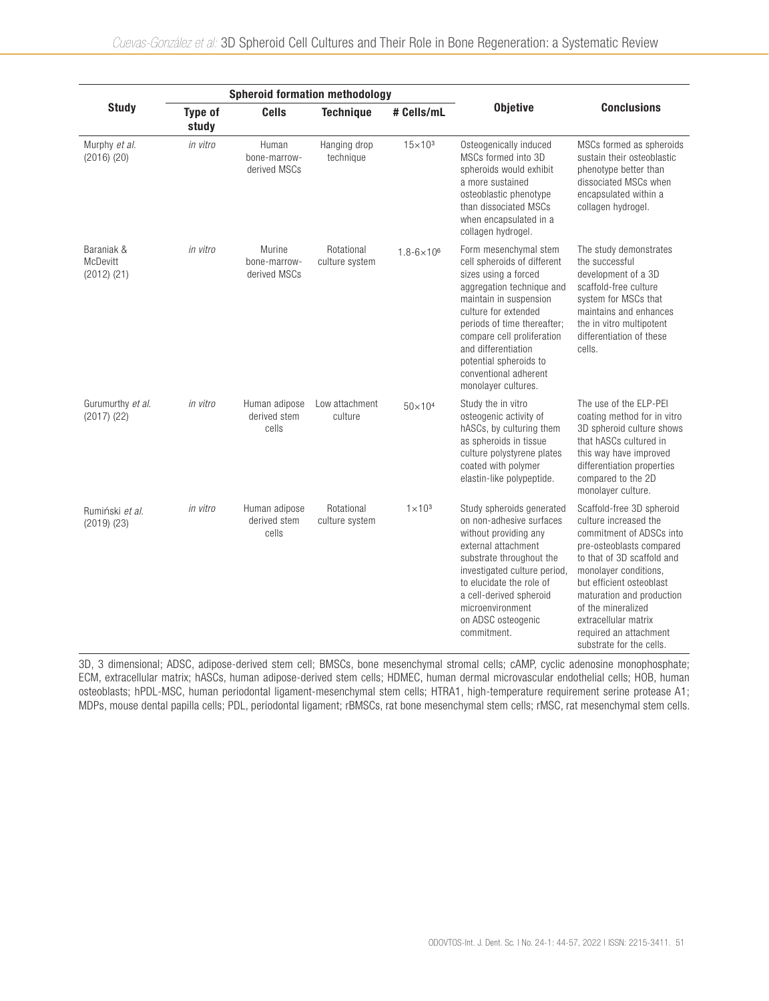|                                           |                                                    | <b>Spheroid formation methodology</b>  |                                                 |                       |                                                                                                                                                                                                                                                                                                                           |                                                                                                                                                                                                                                                                                                                                |  |
|-------------------------------------------|----------------------------------------------------|----------------------------------------|-------------------------------------------------|-----------------------|---------------------------------------------------------------------------------------------------------------------------------------------------------------------------------------------------------------------------------------------------------------------------------------------------------------------------|--------------------------------------------------------------------------------------------------------------------------------------------------------------------------------------------------------------------------------------------------------------------------------------------------------------------------------|--|
| <b>Study</b>                              | <b>Type of</b><br><b>Cells</b><br>study            |                                        | # Cells/mL<br><b>Technique</b>                  |                       | <b>Objetive</b>                                                                                                                                                                                                                                                                                                           | <b>Conclusions</b>                                                                                                                                                                                                                                                                                                             |  |
| Murphy et al.<br>$(2016)$ $(20)$          | in vitro                                           | Human<br>bone-marrow-<br>derived MSCs  | Hanging drop<br>technique                       | $15 \times 10^{3}$    | Osteogenically induced<br>MSCs formed into 3D<br>spheroids would exhibit<br>a more sustained<br>osteoblastic phenotype<br>than dissociated MSCs<br>when encapsulated in a<br>collagen hydrogel.                                                                                                                           | MSCs formed as spheroids<br>sustain their osteoblastic<br>phenotype better than<br>dissociated MSCs when<br>encapsulated within a<br>collagen hydrogel.                                                                                                                                                                        |  |
| Baraniak &<br>McDevitt<br>$(2012)$ $(21)$ | in vitro                                           | Murine<br>bone-marrow-<br>derived MSCs | Rotational<br>culture system                    | $1.8 - 6 \times 10^6$ | Form mesenchymal stem<br>cell spheroids of different<br>sizes using a forced<br>aggregation technique and<br>maintain in suspension<br>culture for extended<br>periods of time thereafter;<br>compare cell proliferation<br>and differentiation<br>potential spheroids to<br>conventional adherent<br>monolayer cultures. | The study demonstrates<br>the successful<br>development of a 3D<br>scaffold-free culture<br>system for MSCs that<br>maintains and enhances<br>the in vitro multipotent<br>differentiation of these<br>cells.                                                                                                                   |  |
| Gurumurthy et al.<br>$(2017)$ $(22)$      | in vitro                                           | Human adipose<br>derived stem<br>cells | Low attachment<br>culture                       | $50 \times 10^{4}$    | Study the in vitro<br>osteogenic activity of<br>hASCs, by culturing them<br>as spheroids in tissue<br>culture polystyrene plates<br>coated with polymer<br>elastin-like polypeptide.                                                                                                                                      | The use of the ELP-PEI<br>coating method for in vitro<br>3D spheroid culture shows<br>that hASCs cultured in<br>this way have improved<br>differentiation properties<br>compared to the 2D<br>monolayer culture.                                                                                                               |  |
| Rumiński et al.<br>$(2019)$ $(23)$        | in vitro<br>Human adipose<br>derived stem<br>cells |                                        | Rotational<br>$1 \times 10^3$<br>culture system |                       | Study spheroids generated<br>on non-adhesive surfaces<br>without providing any<br>external attachment<br>substrate throughout the<br>investigated culture period,<br>to elucidate the role of<br>a cell-derived spheroid<br>microenvironment<br>on ADSC osteogenic<br>commitment.                                         | Scaffold-free 3D spheroid<br>culture increased the<br>commitment of ADSCs into<br>pre-osteoblasts compared<br>to that of 3D scaffold and<br>monolayer conditions.<br>but efficient osteoblast<br>maturation and production<br>of the mineralized<br>extracellular matrix<br>required an attachment<br>substrate for the cells. |  |

3D, 3 dimensional; ADSC, adipose-derived stem cell; BMSCs, bone mesenchymal stromal cells; cAMP, cyclic adenosine monophosphate; ECM, extracellular matrix; hASCs, human adipose-derived stem cells; HDMEC, human dermal microvascular endothelial cells; HOB, human osteoblasts; hPDL-MSC, human periodontal ligament-mesenchymal stem cells; HTRA1, high-temperature requirement serine protease A1; MDPs, mouse dental papilla cells; PDL, periodontal ligament; rBMSCs, rat bone mesenchymal stem cells; rMSC, rat mesenchymal stem cells.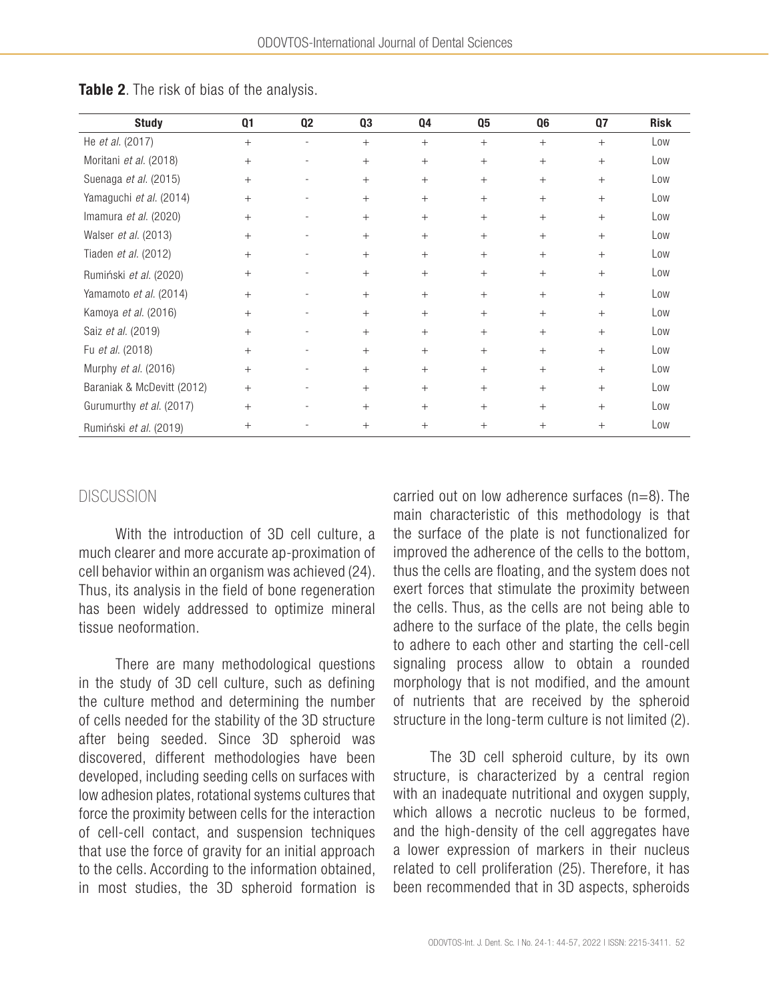| <b>Study</b>               | Q1     | Q <sub>2</sub> | Q3     | Q4     | Q5     | Q <sub>6</sub> | Q7     | <b>Risk</b> |
|----------------------------|--------|----------------|--------|--------|--------|----------------|--------|-------------|
| He et al. (2017)           | $+$    |                | $^{+}$ | $^{+}$ | $^{+}$ | $+$            | $+$    | Low         |
| Moritani et al. (2018)     | $+$    |                | $+$    | $^{+}$ | $^{+}$ | $+$            | $+$    | Low         |
| Suenaga et al. (2015)      | $+$    |                | $+$    | $^{+}$ | $+$    | $+$            | $^{+}$ | Low         |
| Yamaguchi et al. (2014)    | $^{+}$ |                | $^{+}$ | $^{+}$ | $^{+}$ | $+$            | $^{+}$ | Low         |
| Imamura et al. (2020)      | $+$    |                | $^{+}$ | $^{+}$ | $^{+}$ | $+$            | $+$    | Low         |
| Walser et al. (2013)       | $+$    |                | $+$    | $^{+}$ | $+$    | $+$            | $+$    | Low         |
| Tiaden et al. (2012)       | $+$    |                | $^{+}$ | $^{+}$ | $^{+}$ | $+$            | $^{+}$ | Low         |
| Rumiński et al. (2020)     | $^{+}$ |                | $^{+}$ | $^{+}$ | $^{+}$ | $+$            | $^{+}$ | Low         |
| Yamamoto et al. (2014)     | $+$    |                | $^{+}$ | $^{+}$ | $^{+}$ | $+$            | $^{+}$ | Low         |
| Kamoya et al. (2016)       | $^{+}$ |                | $^{+}$ | $^{+}$ | $^{+}$ | $+$            | $+$    | Low         |
| Saiz et al. (2019)         | $+$    |                | $+$    | $+$    | $+$    | $+$            | $+$    | Low         |
| Fu et al. (2018)           | $+$    |                | $^{+}$ | $^{+}$ | $^{+}$ | $+$            | $^{+}$ | Low         |
| Murphy et al. (2016)       | $+$    |                | $^{+}$ | $^{+}$ | $^{+}$ | $+$            | $^{+}$ | Low         |
| Baraniak & McDevitt (2012) | $+$    |                | $^{+}$ | $^{+}$ | $^{+}$ | $+$            | $^{+}$ | Low         |
| Gurumurthy et al. (2017)   | $^{+}$ |                | $^{+}$ | $^{+}$ | $^{+}$ | $+$            | $^{+}$ | Low         |
| Rumiński et al. (2019)     | $^{+}$ |                | $^{+}$ | $^{+}$ | $^{+}$ | $+$            | $^{+}$ | Low         |

Table 2. The risk of bias of the analysis.

## **DISCUSSION**

With the introduction of 3D cell culture, a much clearer and more accurate ap-proximation of cell behavior within an organism was achieved (24). Thus, its analysis in the field of bone regeneration has been widely addressed to optimize mineral tissue neoformation.

There are many methodological questions in the study of 3D cell culture, such as defining the culture method and determining the number of cells needed for the stability of the 3D structure after being seeded. Since 3D spheroid was discovered, different methodologies have been developed, including seeding cells on surfaces with low adhesion plates, rotational systems cultures that force the proximity between cells for the interaction of cell-cell contact, and suspension techniques that use the force of gravity for an initial approach to the cells. According to the information obtained, in most studies, the 3D spheroid formation is carried out on low adherence surfaces  $(n=8)$ . The main characteristic of this methodology is that the surface of the plate is not functionalized for improved the adherence of the cells to the bottom, thus the cells are floating, and the system does not exert forces that stimulate the proximity between the cells. Thus, as the cells are not being able to adhere to the surface of the plate, the cells begin to adhere to each other and starting the cell-cell signaling process allow to obtain a rounded morphology that is not modified, and the amount of nutrients that are received by the spheroid structure in the long-term culture is not limited (2).

The 3D cell spheroid culture, by its own structure, is characterized by a central region with an inadequate nutritional and oxygen supply, which allows a necrotic nucleus to be formed, and the high-density of the cell aggregates have a lower expression of markers in their nucleus related to cell proliferation (25). Therefore, it has been recommended that in 3D aspects, spheroids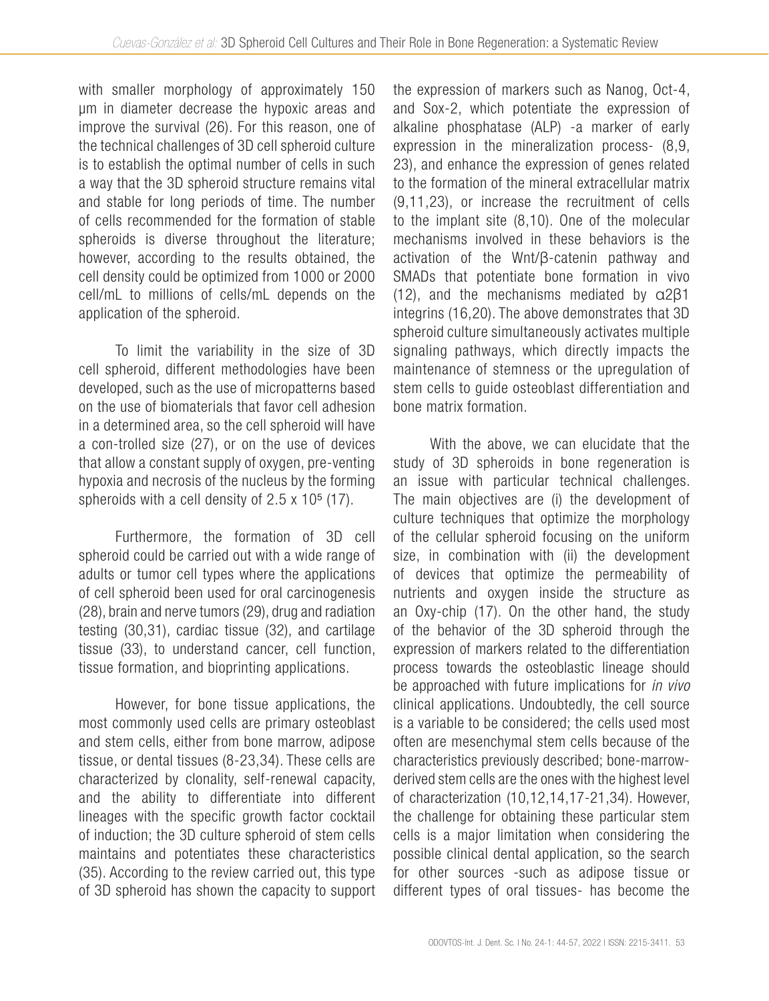with smaller morphology of approximately 150 µm in diameter decrease the hypoxic areas and improve the survival (26). For this reason, one of the technical challenges of 3D cell spheroid culture is to establish the optimal number of cells in such a way that the 3D spheroid structure remains vital and stable for long periods of time. The number of cells recommended for the formation of stable spheroids is diverse throughout the literature; however, according to the results obtained, the cell density could be optimized from 1000 or 2000 cell/mL to millions of cells/mL depends on the application of the spheroid.

To limit the variability in the size of 3D cell spheroid, different methodologies have been developed, such as the use of micropatterns based on the use of biomaterials that favor cell adhesion in a determined area, so the cell spheroid will have a con-trolled size (27), or on the use of devices that allow a constant supply of oxygen, pre-venting hypoxia and necrosis of the nucleus by the forming spheroids with a cell density of  $2.5 \times 10^5$  (17).

Furthermore, the formation of 3D cell spheroid could be carried out with a wide range of adults or tumor cell types where the applications of cell spheroid been used for oral carcinogenesis (28), brain and nerve tumors (29), drug and radiation testing (30,31), cardiac tissue (32), and cartilage tissue (33), to understand cancer, cell function, tissue formation, and bioprinting applications.

However, for bone tissue applications, the most commonly used cells are primary osteoblast and stem cells, either from bone marrow, adipose tissue, or dental tissues (8-23,34). These cells are characterized by clonality, self-renewal capacity, and the ability to differentiate into different lineages with the specific growth factor cocktail of induction; the 3D culture spheroid of stem cells maintains and potentiates these characteristics (35). According to the review carried out, this type of 3D spheroid has shown the capacity to support the expression of markers such as Nanog, Oct-4, and Sox-2, which potentiate the expression of alkaline phosphatase (ALP) -a marker of early expression in the mineralization process- (8,9, 23), and enhance the expression of genes related to the formation of the mineral extracellular matrix (9,11,23), or increase the recruitment of cells to the implant site (8,10). One of the molecular mechanisms involved in these behaviors is the activation of the Wnt/β-catenin pathway and SMADs that potentiate bone formation in vivo (12), and the mechanisms mediated by α2β1 integrins (16,20). The above demonstrates that 3D spheroid culture simultaneously activates multiple signaling pathways, which directly impacts the maintenance of stemness or the upregulation of stem cells to guide osteoblast differentiation and bone matrix formation.

With the above, we can elucidate that the study of 3D spheroids in bone regeneration is an issue with particular technical challenges. The main objectives are (i) the development of culture techniques that optimize the morphology of the cellular spheroid focusing on the uniform size, in combination with (ii) the development of devices that optimize the permeability of nutrients and oxygen inside the structure as an Oxy-chip (17). On the other hand, the study of the behavior of the 3D spheroid through the expression of markers related to the differentiation process towards the osteoblastic lineage should be approached with future implications for *in vivo* clinical applications. Undoubtedly, the cell source is a variable to be considered; the cells used most often are mesenchymal stem cells because of the characteristics previously described; bone-marrowderived stem cells are the ones with the highest level of characterization (10,12,14,17-21,34). However, the challenge for obtaining these particular stem cells is a major limitation when considering the possible clinical dental application, so the search for other sources -such as adipose tissue or different types of oral tissues- has become the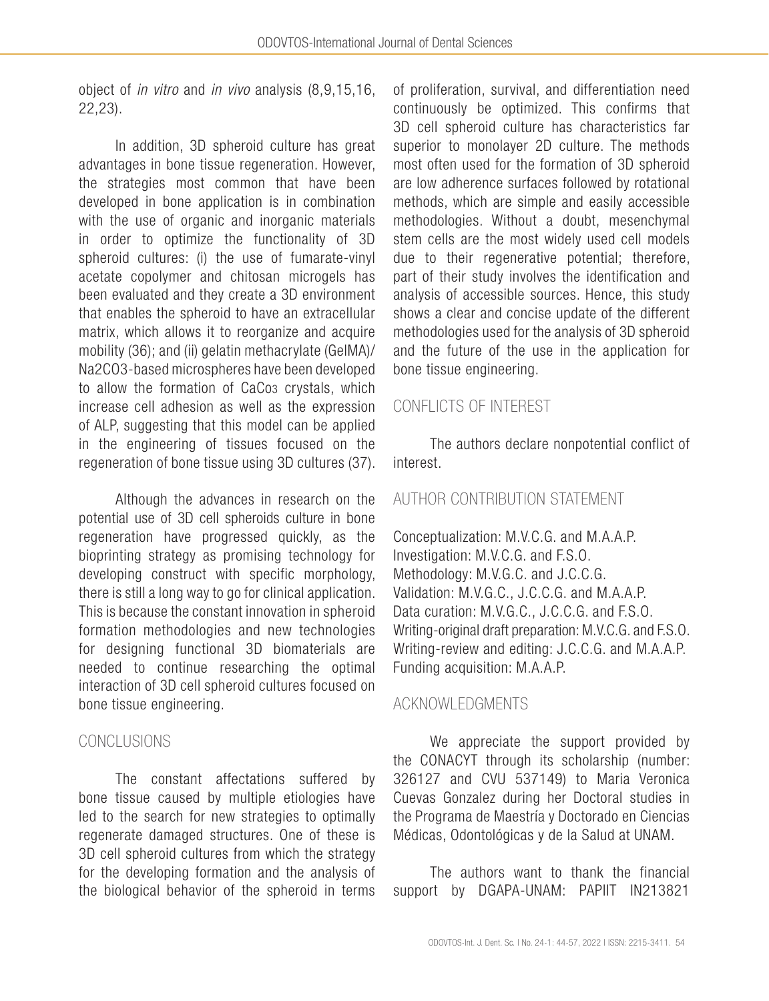object of *in vitro* and *in vivo* analysis (8,9,15,16, 22,23).

In addition, 3D spheroid culture has great advantages in bone tissue regeneration. However, the strategies most common that have been developed in bone application is in combination with the use of organic and inorganic materials in order to optimize the functionality of 3D spheroid cultures: (i) the use of fumarate-vinyl acetate copolymer and chitosan microgels has been evaluated and they create a 3D environment that enables the spheroid to have an extracellular matrix, which allows it to reorganize and acquire mobility (36); and (ii) gelatin methacrylate (GelMA)/ Na2CO3-based microspheres have been developed to allow the formation of CaCo3 crystals, which increase cell adhesion as well as the expression of ALP, suggesting that this model can be applied in the engineering of tissues focused on the regeneration of bone tissue using 3D cultures (37).

Although the advances in research on the potential use of 3D cell spheroids culture in bone regeneration have progressed quickly, as the bioprinting strategy as promising technology for developing construct with specific morphology, there is still a long way to go for clinical application. This is because the constant innovation in spheroid formation methodologies and new technologies for designing functional 3D biomaterials are needed to continue researching the optimal interaction of 3D cell spheroid cultures focused on bone tissue engineering.

# **CONCLUSIONS**

The constant affectations suffered by bone tissue caused by multiple etiologies have led to the search for new strategies to optimally regenerate damaged structures. One of these is 3D cell spheroid cultures from which the strategy for the developing formation and the analysis of the biological behavior of the spheroid in terms of proliferation, survival, and differentiation need continuously be optimized. This confirms that 3D cell spheroid culture has characteristics far superior to monolayer 2D culture. The methods most often used for the formation of 3D spheroid are low adherence surfaces followed by rotational methods, which are simple and easily accessible methodologies. Without a doubt, mesenchymal stem cells are the most widely used cell models due to their regenerative potential; therefore, part of their study involves the identification and analysis of accessible sources. Hence, this study shows a clear and concise update of the different methodologies used for the analysis of 3D spheroid and the future of the use in the application for bone tissue engineering.

# CONFLICTS OF INTEREST

The authors declare nonpotential conflict of interest.

# AUTHOR CONTRIBUTION STATEMENT

Conceptualization: M.V.C.G. and M.A.A.P. Investigation: M.V.C.G. and F.S.O. Methodology: M.V.G.C. and J.C.C.G. Validation: M.V.G.C., J.C.C.G. and M.A.A.P. Data curation: M.V.G.C., J.C.C.G. and F.S.O. Writing-original draft preparation: M.V.C.G. and F.S.O. Writing-review and editing: J.C.C.G. and M.A.A.P. Funding acquisition: M.A.A.P.

# ACKNOWLEDGMENTS

We appreciate the support provided by the CONACYT through its scholarship (number: 326127 and CVU 537149) to Maria Veronica Cuevas Gonzalez during her Doctoral studies in the Programa de Maestría y Doctorado en Ciencias Médicas, Odontológicas y de la Salud at UNAM.

The authors want to thank the financial support by DGAPA-UNAM: PAPIIT IN213821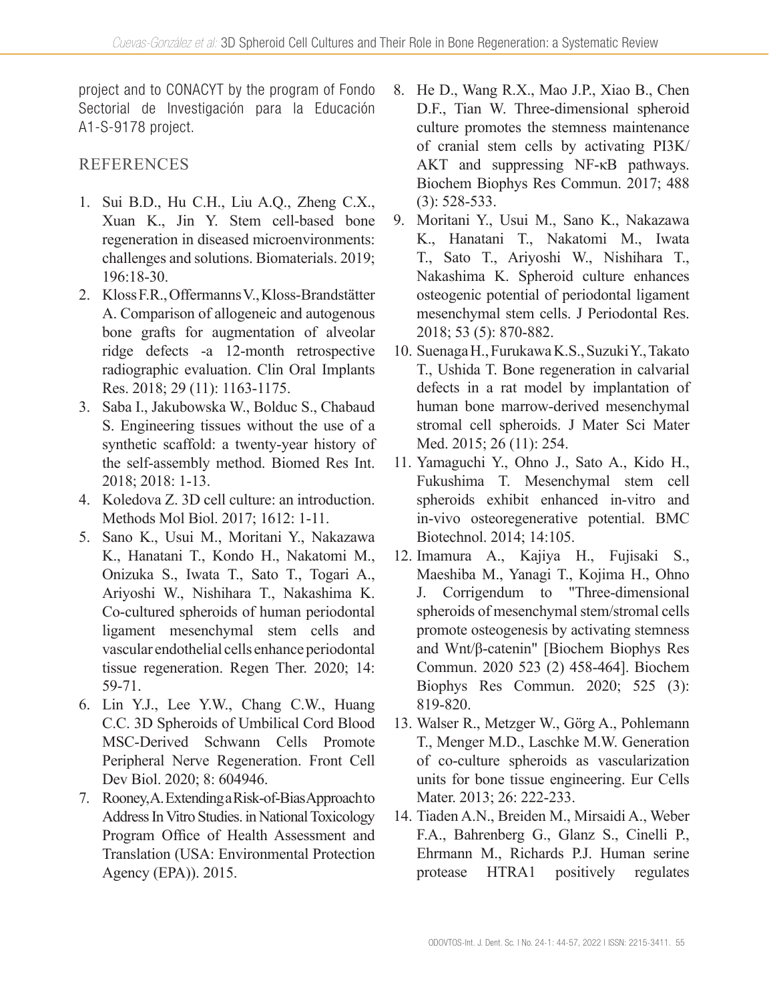project and to CONACYT by the program of Fondo Sectorial de Investigación para la Educación A1-S-9178 project.

# REFERENCES

- 1. Sui B.D., Hu C.H., Liu A.Q., Zheng C.X., Xuan K., Jin Y. Stem cell-based bone regeneration in diseased microenvironments: challenges and solutions. Biomaterials. 2019; 196:18-30.
- 2. Kloss F.R., Offermanns V., Kloss-Brandstätter A. Comparison of allogeneic and autogenous bone grafts for augmentation of alveolar ridge defects -a 12-month retrospective radiographic evaluation. Clin Oral Implants Res. 2018; 29 (11): 1163-1175.
- 3. Saba I., Jakubowska W., Bolduc S., Chabaud S. Engineering tissues without the use of a synthetic scaffold: a twenty-year history of the self-assembly method. Biomed Res Int. 2018; 2018: 1-13.
- 4. Koledova Z. 3D cell culture: an introduction. Methods Mol Biol. 2017; 1612: 1-11.
- 5. Sano K., Usui M., Moritani Y., Nakazawa K., Hanatani T., Kondo H., Nakatomi M., Onizuka S., Iwata T., Sato T., Togari A., Ariyoshi W., Nishihara T., Nakashima K. Co-cultured spheroids of human periodontal ligament mesenchymal stem cells and vascular endothelial cells enhance periodontal tissue regeneration. Regen Ther. 2020; 14: 59-71.
- 6. Lin Y.J., Lee Y.W., Chang C.W., Huang C.C. 3D Spheroids of Umbilical Cord Blood MSC-Derived Schwann Cells Promote Peripheral Nerve Regeneration. Front Cell Dev Biol. 2020; 8: 604946.
- 7. Rooney, A. Extending a Risk-of-Bias Approach to Address In Vitro Studies. in National Toxicology Program Office of Health Assessment and Translation (USA: Environmental Protection Agency (EPA)). 2015.
- 8. He D., Wang R.X., Mao J.P., Xiao B., Chen D.F., Tian W. Three-dimensional spheroid culture promotes the stemness maintenance of cranial stem cells by activating PI3K/ AKT and suppressing NF-κB pathways. Biochem Biophys Res Commun. 2017; 488 (3): 528-533.
- 9. Moritani Y., Usui M., Sano K., Nakazawa K., Hanatani T., Nakatomi M., Iwata T., Sato T., Ariyoshi W., Nishihara T., Nakashima K. Spheroid culture enhances osteogenic potential of periodontal ligament mesenchymal stem cells. J Periodontal Res. 2018; 53 (5): 870-882.
- 10. Suenaga H., Furukawa K.S., Suzuki Y., Takato T., Ushida T. Bone regeneration in calvarial defects in a rat model by implantation of human bone marrow-derived mesenchymal stromal cell spheroids. J Mater Sci Mater Med. 2015; 26 (11): 254.
- 11. Yamaguchi Y., Ohno J., Sato A., Kido H., Fukushima T. Mesenchymal stem cell spheroids exhibit enhanced in-vitro and in-vivo osteoregenerative potential. BMC Biotechnol. 2014; 14:105.
- 12. Imamura A., Kajiya H., Fujisaki S., Maeshiba M., Yanagi T., Kojima H., Ohno J. Corrigendum to "Three-dimensional spheroids of mesenchymal stem/stromal cells promote osteogenesis by activating stemness and Wnt/β-catenin" [Biochem Biophys Res Commun. 2020 523 (2) 458-464]. Biochem Biophys Res Commun. 2020; 525 (3): 819-820.
- 13. Walser R., Metzger W., Görg A., Pohlemann T., Menger M.D., Laschke M.W. Generation of co-culture spheroids as vascularization units for bone tissue engineering. Eur Cells Mater. 2013; 26: 222-233.
- 14. Tiaden A.N., Breiden M., Mirsaidi A., Weber F.A., Bahrenberg G., Glanz S., Cinelli P., Ehrmann M., Richards P.J. Human serine protease HTRA1 positively regulates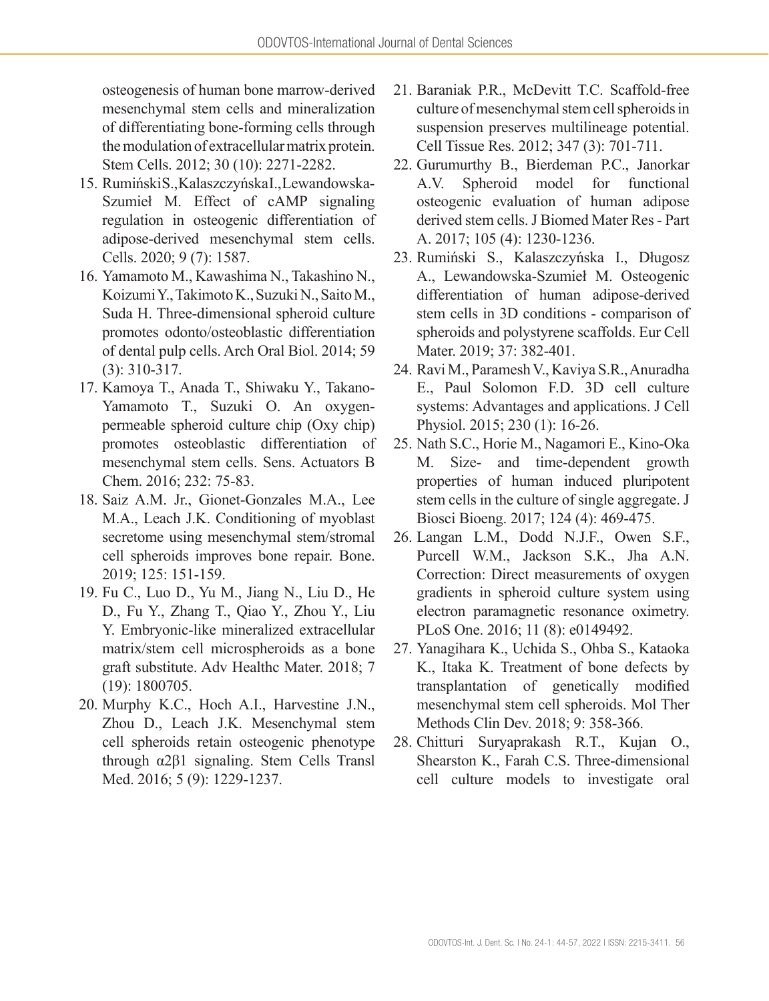osteogenesis of human bone marrow-derived mesenchymal stem cells and mineralization of differentiating bone-forming cells through the modulation of extracellular matrix protein. Stem Cells. 2012; 30 (10): 2271-2282.

- 15. Rumiński S., Kalaszczyńska I., Lewandowska-Szumieł M. Effect of cAMP signaling regulation in osteogenic differentiation of adipose-derived mesenchymal stem cells. Cells. 2020; 9 (7): 1587.
- 16. Yamamoto M., Kawashima N., Takashino N., Koizumi Y., Takimoto K., Suzuki N., Saito M., Suda H. Three-dimensional spheroid culture promotes odonto/osteoblastic differentiation of dental pulp cells. Arch Oral Biol. 2014; 59 (3): 310-317.
- 17. Kamoya T., Anada T., Shiwaku Y., Takano-Yamamoto T., Suzuki O. An oxygenpermeable spheroid culture chip (Oxy chip) promotes osteoblastic differentiation of mesenchymal stem cells. Sens. Actuators B Chem. 2016; 232: 75-83.
- 18. Saiz A.M. Jr., Gionet-Gonzales M.A., Lee M.A., Leach J.K. Conditioning of myoblast secretome using mesenchymal stem/stromal cell spheroids improves bone repair. Bone. 2019; 125: 151-159.
- 19. Fu C., Luo D., Yu M., Jiang N., Liu D., He D., Fu Y., Zhang T., Qiao Y., Zhou Y., Liu Y. Embryonic-like mineralized extracellular matrix/stem cell microspheroids as a bone graft substitute. Adv Healthc Mater. 2018; 7 (19): 1800705.
- 20. Murphy K.C., Hoch A.I., Harvestine J.N., Zhou D., Leach J.K. Mesenchymal stem cell spheroids retain osteogenic phenotype through α2β1 signaling. Stem Cells Transl Med. 2016; 5 (9): 1229-1237.
- 21. Baraniak P.R., McDevitt T.C. Scaffold-free culture of mesenchymal stem cell spheroids in suspension preserves multilineage potential. Cell Tissue Res. 2012; 347 (3): 701-711.
- 22. Gurumurthy B., Bierdeman P.C., Janorkar A.V. Spheroid model for functional osteogenic evaluation of human adipose derived stem cells. J Biomed Mater Res - Part A. 2017; 105 (4): 1230-1236.
- 23. Rumiński S., Kalaszczyńska I., Długosz A., Lewandowska-Szumieł M. Osteogenic differentiation of human adipose-derived stem cells in 3D conditions - comparison of spheroids and polystyrene scaffolds. Eur Cell Mater. 2019; 37: 382-401.
- 24. Ravi M., Paramesh V., Kaviya S.R., Anuradha E., Paul Solomon F.D. 3D cell culture systems: Advantages and applications. J Cell Physiol. 2015; 230 (1): 16-26.
- 25. Nath S.C., Horie M., Nagamori E., Kino-Oka M. Size- and time-dependent growth properties of human induced pluripotent stem cells in the culture of single aggregate. J Biosci Bioeng. 2017; 124 (4): 469-475.
- 26. Langan L.M., Dodd N.J.F., Owen S.F., Purcell W.M., Jackson S.K., Jha A.N. Correction: Direct measurements of oxygen gradients in spheroid culture system using electron paramagnetic resonance oximetry. PLoS One. 2016; 11 (8): e0149492.
- 27. Yanagihara K., Uchida S., Ohba S., Kataoka K., Itaka K. Treatment of bone defects by transplantation of genetically modified mesenchymal stem cell spheroids. Mol Ther Methods Clin Dev. 2018; 9: 358-366.
- 28. Chitturi Suryaprakash R.T., Kujan O., Shearston K., Farah C.S. Three-dimensional cell culture models to investigate oral